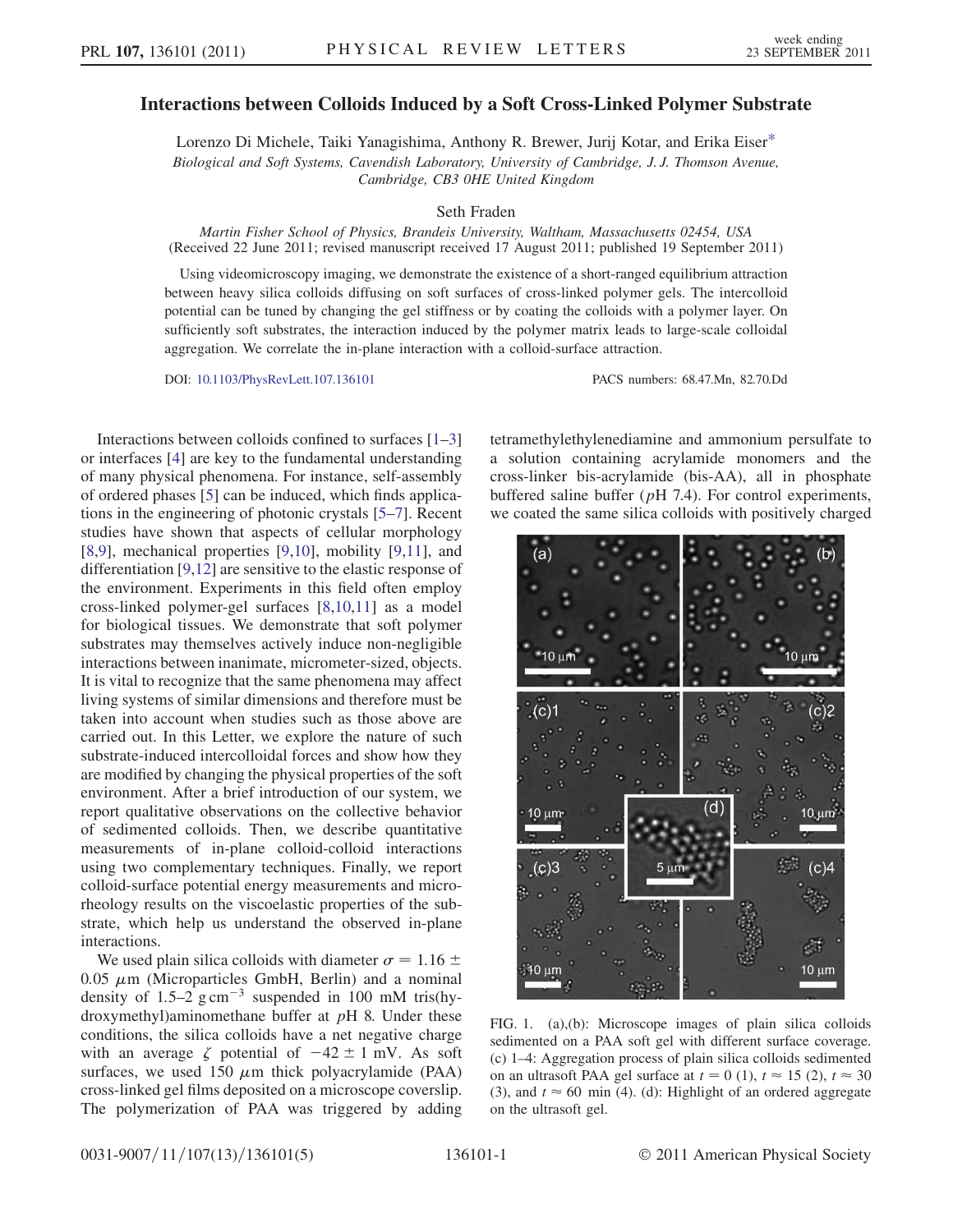## <span id="page-0-1"></span>Interactions between Colloids Induced by a Soft Cross-Linked Polymer Substrate

Lorenzo Di Michele, Taiki Yanagishima, Anthony R. Brewer, Jurij Kotar, and Erika Eise[r\\*](#page-3-0) Biological and Soft Systems, Cavendish Laboratory, University of Cambridge, J. J. Thomson Avenue, Cambridge, CB3 0HE United Kingdom

Seth Fraden

Martin Fisher School of Physics, Brandeis University, Waltham, Massachusetts 02454, USA (Received 22 June 2011; revised manuscript received 17 August 2011; published 19 September 2011)

Using videomicroscopy imaging, we demonstrate the existence of a short-ranged equilibrium attraction between heavy silica colloids diffusing on soft surfaces of cross-linked polymer gels. The intercolloid potential can be tuned by changing the gel stiffness or by coating the colloids with a polymer layer. On sufficiently soft substrates, the interaction induced by the polymer matrix leads to large-scale colloidal aggregation. We correlate the in-plane interaction with a colloid-surface attraction.

DOI: [10.1103/PhysRevLett.107.136101](http://dx.doi.org/10.1103/PhysRevLett.107.136101) PACS numbers: 68.47.Mn, 82.70.Dd

Interactions between colloids confined to surfaces [[1](#page-3-1)[–3\]](#page-3-2) or interfaces [[4\]](#page-3-3) are key to the fundamental understanding of many physical phenomena. For instance, self-assembly of ordered phases [\[5](#page-3-4)] can be induced, which finds applications in the engineering of photonic crystals [\[5–](#page-3-4)[7\]](#page-3-5). Recent studies have shown that aspects of cellular morphology [\[8,](#page-3-6)[9](#page-3-7)], mechanical properties [[9](#page-3-7),[10](#page-3-8)], mobility [\[9](#page-3-7)[,11](#page-3-9)], and differentiation [[9](#page-3-7)[,12\]](#page-3-10) are sensitive to the elastic response of the environment. Experiments in this field often employ cross-linked polymer-gel surfaces [\[8,](#page-3-6)[10,](#page-3-8)[11\]](#page-3-9) as a model for biological tissues. We demonstrate that soft polymer substrates may themselves actively induce non-negligible interactions between inanimate, micrometer-sized, objects. It is vital to recognize that the same phenomena may affect living systems of similar dimensions and therefore must be taken into account when studies such as those above are carried out. In this Letter, we explore the nature of such substrate-induced intercolloidal forces and show how they are modified by changing the physical properties of the soft environment. After a brief introduction of our system, we report qualitative observations on the collective behavior of sedimented colloids. Then, we describe quantitative measurements of in-plane colloid-colloid interactions using two complementary techniques. Finally, we report colloid-surface potential energy measurements and microrheology results on the viscoelastic properties of the substrate, which help us understand the observed in-plane interactions.

We used plain silica colloids with diameter  $\sigma = 1.16 \pm 0.05 \mu$ m (Microparticles GmbH, Berlin) and a nominal 0.05  $\mu$ m (Microparticles GmbH, Berlin) and a nominal density of 1.5–2  $g \text{ cm}^{-3}$  suspended in 100 mM tris(hydensity of 1.5–2  $\text{g cm}^{-3}$  suspended in 100 mM tris(hy-<br>droxymethyl)aminomethane buffer at  $nH_2$  Under these droxymethyl)aminomethane buffer at  $pH$  8. Under these conditions, the silica colloids have a net negative charge with an average  $\zeta$  potential of  $-42 \pm 1$  mV. As soft<br>surfaces we used 150  $\mu$ m thick polyacrylamide (PAA) surfaces, we used  $150 \mu m$  thick polyacrylamide (PAA) cross-linked gel films denosited on a microscope coverslin cross-linked gel films deposited on a microscope coverslip. The polymerization of PAA was triggered by adding tetramethylethylenediamine and ammonium persulfate to a solution containing acrylamide monomers and the cross-linker bis-acrylamide (bis-AA), all in phosphate buffered saline buffer  $(pH 7.4)$ . For control experiments, we coated the same silica colloids with positively charged



<span id="page-0-0"></span>FIG. 1. (a),(b): Microscope images of plain silica colloids sedimented on a PAA soft gel with different surface coverage. (c) 1–4: Aggregation process of plain silica colloids sedimented on an ultrasoft PAA gel surface at  $t = 0$  (1),  $t \approx 15$  (2),  $t \approx 30$ (3), and  $t \approx 60$  min (4). (d): Highlight of an ordered aggregate on the ultrasoft gel.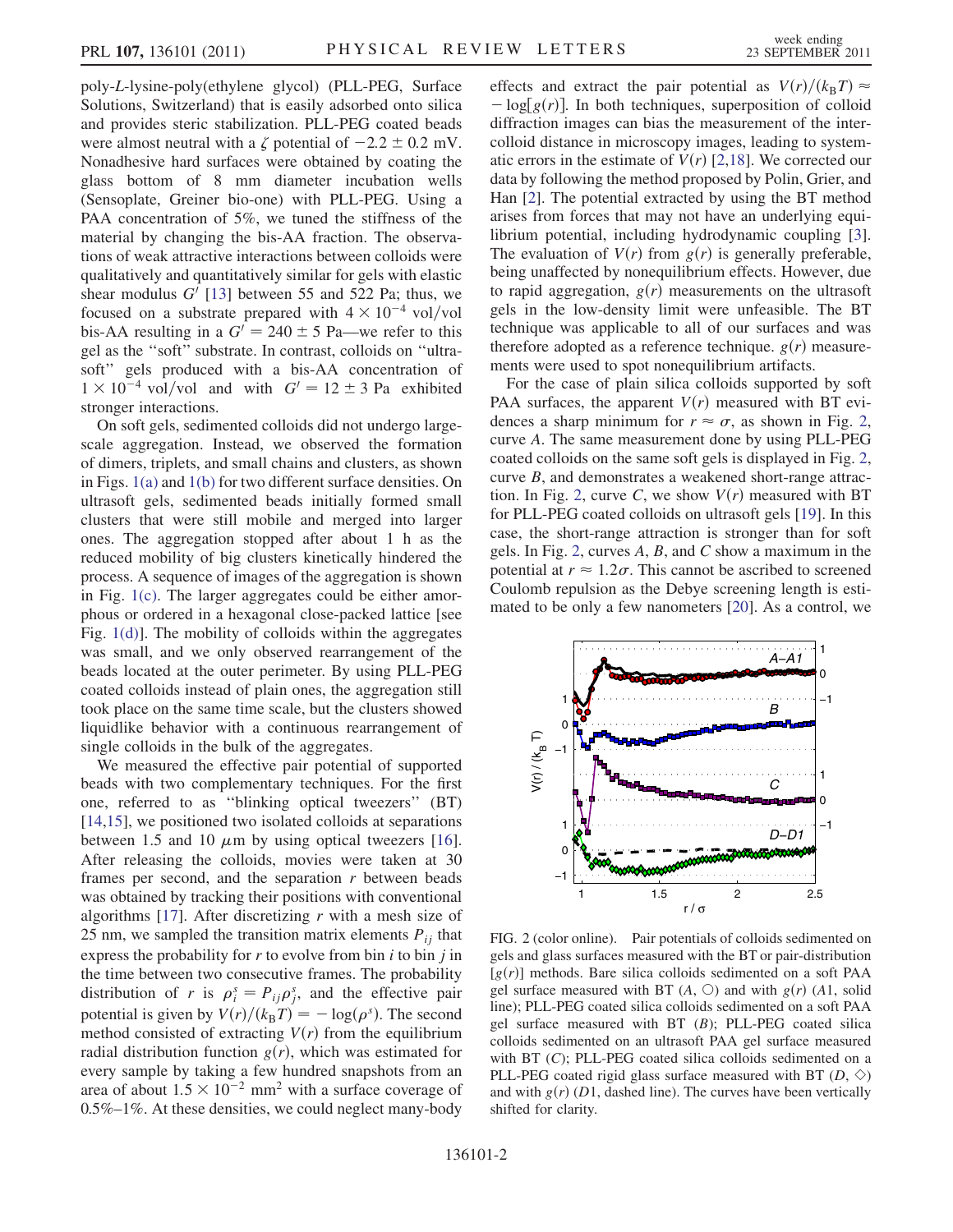poly-L-lysine-poly(ethylene glycol) (PLL-PEG, Surface Solutions, Switzerland) that is easily adsorbed onto silica and provides steric stabilization. PLL-PEG coated beads were almost neutral with a  $\zeta$  potential of  $-2.2 \pm 0.2$  mV.<br>Nonadhesive hard surfaces were obtained by coating the Nonadhesive hard surfaces were obtained by coating the glass bottom of 8 mm diameter incubation wells (Sensoplate, Greiner bio-one) with PLL-PEG. Using a PAA concentration of 5%, we tuned the stiffness of the material by changing the bis-AA fraction. The observations of weak attractive interactions between colloids were qualitatively and quantitatively similar for gels with elastic shear modulus  $G'$  [\[13\]](#page-3-11) between 55 and 522 Pa; thus, we focused on a substrate prepared with  $4 \times 10^{-4}$  vol/vol focused on a substrate prepared with  $4 \times 10^{-4}$  vol/vol<br>bis-AA resulting in a  $G' = 240 \pm 5$  Pa—we refer to this<br>gel as the "soft" substrate. In contrast, colloids on "ultragel as the ''soft'' substrate. In contrast, colloids on ''ultrasoft'' gels produced with a bis-AA concentration of  $1 \times 10^{-4}$  vol/vol and with  $G' = 12 \pm 3$  Pa exhibited<br>stronger interactions stronger interactions.

On soft gels, sedimented colloids did not undergo largescale aggregation. Instead, we observed the formation of dimers, triplets, and small chains and clusters, as shown in Figs. [1\(a\)](#page-0-0) and [1\(b\)](#page-0-0) for two different surface densities. On ultrasoft gels, sedimented beads initially formed small clusters that were still mobile and merged into larger ones. The aggregation stopped after about 1 h as the reduced mobility of big clusters kinetically hindered the process. A sequence of images of the aggregation is shown in Fig. [1\(c\).](#page-0-0) The larger aggregates could be either amorphous or ordered in a hexagonal close-packed lattice [see Fig. [1\(d\)](#page-0-0)]. The mobility of colloids within the aggregates was small, and we only observed rearrangement of the beads located at the outer perimeter. By using PLL-PEG coated colloids instead of plain ones, the aggregation still took place on the same time scale, but the clusters showed liquidlike behavior with a continuous rearrangement of single colloids in the bulk of the aggregates.

We measured the effective pair potential of supported beads with two complementary techniques. For the first one, referred to as ''blinking optical tweezers'' (BT) [\[14](#page-3-12)[,15\]](#page-3-13), we positioned two isolated colloids at separations between 1.5 and 10  $\mu$ m by using optical tweezers [\[16\]](#page-3-14).<br>After releasing the colloids movies were taken at 30 After releasing the colloids, movies were taken at 30 frames per second, and the separation  $r$  between beads was obtained by tracking their positions with conventional algorithms [\[17\]](#page-3-15). After discretizing  $r$  with a mesh size of 25 nm, we sampled the transition matrix elements  $P_{ii}$  that express the probability for  $r$  to evolve from bin  $i$  to bin  $j$  in the time between two consecutive frames. The probability distribution of r is  $\rho_i^s = P_{ij}\rho_j^s$ , and the effective pair<br>potential is given by  $V(s)/(k, T) = -\log(s)$ . The second potential is given by  $V(r)/(k_B T) = -\log(\rho^s)$ . The second<br>method consisted of extracting  $V(r)$  from the equilibrium  $\sim$  log( $\rho^s$ ) method consisted of extracting  $V(r)$  from the equilibrium<br>radial distribution function  $g(r)$  which was estimated for radial distribution function  $g(r)$ , which was estimated for every sample by taking a few hundred snapshots from an area of about  $1.5 \times 10^{-2}$  mm<sup>2</sup> with a surface coverage of 0.5%–1%. At these densities, we could neglect many-body 0.5%–1%. At these densities, we could neglect many-body effects and extract the pair potential as  $V(r)/(k_B T) \approx$  $-\log[g(r)]$ . In both techniques, superposition of colloid diffraction images can bias the measurement of the interdiffraction images can bias the measurement of the intercolloid distance in microscopy images, leading to systematic errors in the estimate of  $V(r)$  [[2,](#page-3-16)[18\]](#page-3-17). We corrected our data by following the method proposed by Polin, Grier, and Han [\[2](#page-3-16)]. The potential extracted by using the BT method arises from forces that may not have an underlying equilibrium potential, including hydrodynamic coupling [[3\]](#page-3-2). The evaluation of  $V(r)$  from  $g(r)$  is generally preferable, being unaffected by nonequilibrium effects. However, due to rapid aggregation,  $g(r)$  measurements on the ultrasoft gels in the low-density limit were unfeasible. The BT technique was applicable to all of our surfaces and was therefore adopted as a reference technique.  $g(r)$  measurements were used to spot nonequilibrium artifacts.

For the case of plain silica colloids supported by soft PAA surfaces, the apparent  $V(r)$  measured with BT evidences a sharp minimum for  $r \approx \sigma$ , as shown in Fig. [2](#page-1-0), curve A. The same measurement done by using PLL-PEG coated colloids on the same soft gels is displayed in Fig. [2](#page-1-0), curve B, and demonstrates a weakened short-range attrac-tion. In Fig. [2](#page-1-0), curve C, we show  $V(r)$  measured with BT for PLL-PEG coated colloids on ultrasoft gels [\[19\]](#page-3-18). In this case, the short-range attraction is stronger than for soft gels. In Fig. [2,](#page-1-0) curves  $A$ ,  $B$ , and  $C$  show a maximum in the potential at  $r \approx 1.2\sigma$ . This cannot be ascribed to screened Coulomb repulsion as the Debye screening length is estimated to be only a few nanometers [[20](#page-3-19)]. As a control, we

<span id="page-1-0"></span>

FIG. 2 (color online). Pair potentials of colloids sedimented on gels and glass surfaces measured with the BT or pair-distribution  $[g(r)]$  methods. Bare silica colloids sedimented on a soft PAA gel surface measured with BT  $(A, \bigcirc)$  and with  $g(r)$   $(A1, \text{ solid})$ line); PLL-PEG coated silica colloids sedimented on a soft PAA gel surface measured with BT (B); PLL-PEG coated silica colloids sedimented on an ultrasoft PAA gel surface measured with BT (C); PLL-PEG coated silica colloids sedimented on a PLL-PEG coated rigid glass surface measured with BT  $(D, \Diamond)$ and with  $g(r)$  (D1, dashed line). The curves have been vertically shifted for clarity.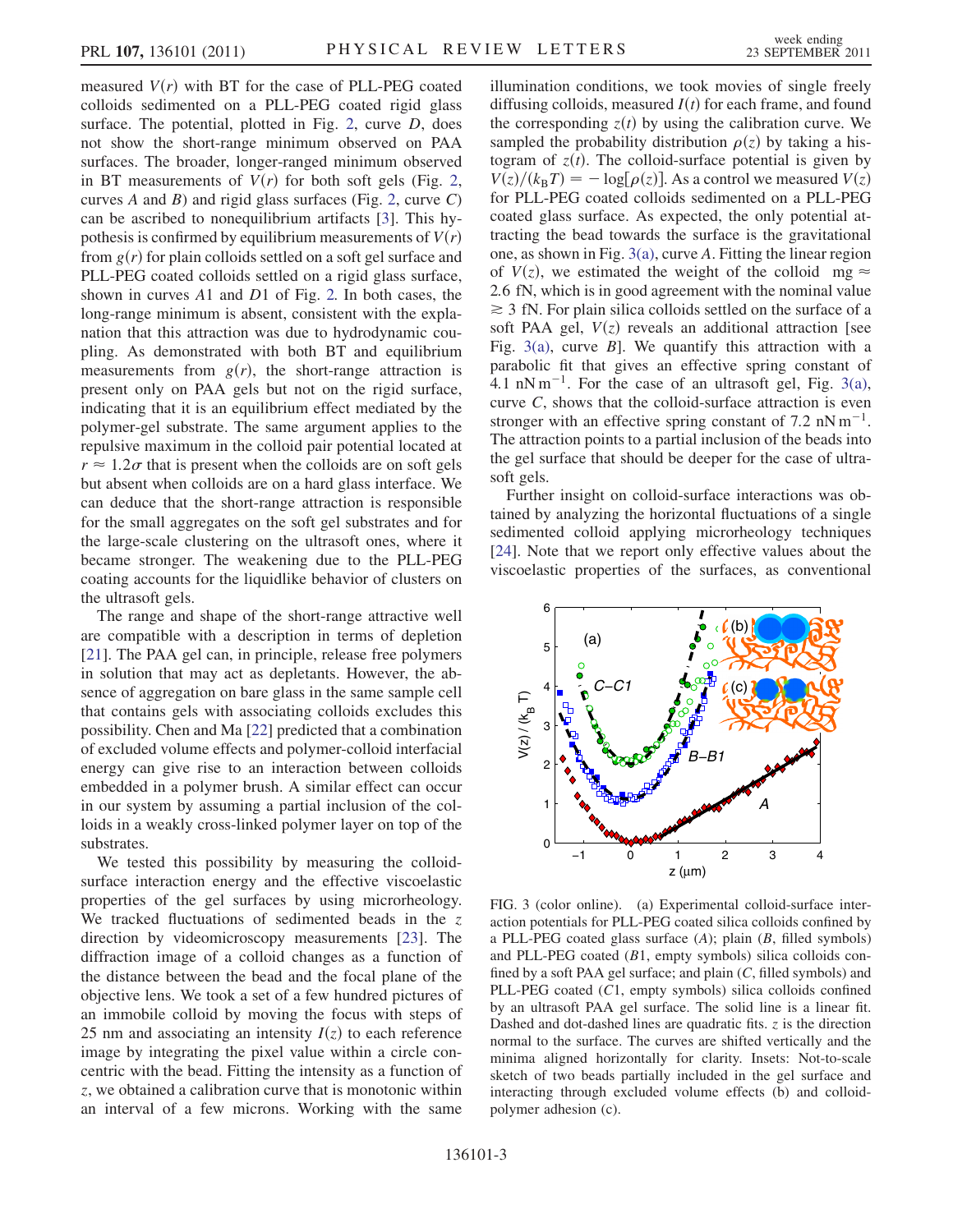measured  $V(r)$  with BT for the case of PLL-PEG coated colloids sedimented on a PLL-PEG coated rigid glass surface. The potential, plotted in Fig. [2,](#page-1-0) curve D, does not show the short-range minimum observed on PAA surfaces. The broader, longer-ranged minimum observed in BT measurements of  $V(r)$  for both soft gels (Fig. [2](#page-1-0), curves A and B) and rigid glass surfaces (Fig. [2](#page-1-0), curve  $C$ ) can be ascribed to nonequilibrium artifacts [\[3](#page-3-2)]. This hypothesis is confirmed by equilibrium measurements of  $V(r)$ from  $g(r)$  for plain colloids settled on a soft gel surface and PLL-PEG coated colloids settled on a rigid glass surface, shown in curves A1 and D1 of Fig. [2.](#page-1-0) In both cases, the long-range minimum is absent, consistent with the explanation that this attraction was due to hydrodynamic coupling. As demonstrated with both BT and equilibrium measurements from  $g(r)$ , the short-range attraction is present only on PAA gels but not on the rigid surface, indicating that it is an equilibrium effect mediated by the polymer-gel substrate. The same argument applies to the repulsive maximum in the colloid pair potential located at  $r \approx 1.2 \sigma$  that is present when the colloids are on soft gels but absent when colloids are on a hard glass interface. We can deduce that the short-range attraction is responsible for the small aggregates on the soft gel substrates and for the large-scale clustering on the ultrasoft ones, where it became stronger. The weakening due to the PLL-PEG coating accounts for the liquidlike behavior of clusters on the ultrasoft gels.

The range and shape of the short-range attractive well are compatible with a description in terms of depletion [\[21\]](#page-3-20). The PAA gel can, in principle, release free polymers in solution that may act as depletants. However, the absence of aggregation on bare glass in the same sample cell that contains gels with associating colloids excludes this possibility. Chen and Ma [[22](#page-3-21)] predicted that a combination of excluded volume effects and polymer-colloid interfacial energy can give rise to an interaction between colloids embedded in a polymer brush. A similar effect can occur in our system by assuming a partial inclusion of the colloids in a weakly cross-linked polymer layer on top of the substrates.

We tested this possibility by measuring the colloidsurface interaction energy and the effective viscoelastic properties of the gel surfaces by using microrheology. We tracked fluctuations of sedimented beads in the z direction by videomicroscopy measurements [\[23\]](#page-4-0). The diffraction image of a colloid changes as a function of the distance between the bead and the focal plane of the objective lens. We took a set of a few hundred pictures of an immobile colloid by moving the focus with steps of 25 nm and associating an intensity  $I(z)$  to each reference image by integrating the pixel value within a circle concentric with the bead. Fitting the intensity as a function of z, we obtained a calibration curve that is monotonic within an interval of a few microns. Working with the same illumination conditions, we took movies of single freely diffusing colloids, measured  $I(t)$  for each frame, and found the corresponding  $z(t)$  by using the calibration curve. We sampled the probability distribution  $\rho(z)$  by taking a histogram of  $z(t)$ . The colloid-surface potential is given by  $V(z)/(k_B I) = -\log[\rho(z)]$ . As a control we measured  $V(z)$  for PLL-PEG coated colloids sedimented on a PLL-PEG  $V(z)/(k_B T) = -\log[\rho(z)]$ . As a control we measured  $V(z)$ coated glass surface. As expected, the only potential attracting the bead towards the surface is the gravitational one, as shown in Fig. [3\(a\),](#page-2-0) curve A. Fitting the linear region of  $V(z)$ , we estimated the weight of the colloid mg  $\approx$ 2:6 fN, which is in good agreement with the nominal value *\** 3 fN. For plain silica colloids settled on the surface of a soft PAA gel,  $V(z)$  reveals an additional attraction [see Fig. [3\(a\)](#page-2-0), curve  $B$ ]. We quantify this attraction with a parabolic fit that gives an effective spring constant of 4.1 nN m<sup>-1</sup>. For the case of an ultrasoft gel, Fig. [3\(a\)](#page-2-0), curve C shows that the colloid-surface attraction is even curve  $C$ , shows that the colloid-surface attraction is even stronger with an effective spring constant of 7.2  $nN m^{-1}$ .<br>The attraction points to a partial inclusion of the beads into The attraction points to a partial inclusion of the beads into the gel surface that should be deeper for the case of ultrasoft gels.

Further insight on colloid-surface interactions was obtained by analyzing the horizontal fluctuations of a single sedimented colloid applying microrheology techniques [\[24\]](#page-4-1). Note that we report only effective values about the viscoelastic properties of the surfaces, as conventional

<span id="page-2-1"></span>

<span id="page-2-0"></span>FIG. 3 (color online). (a) Experimental colloid-surface interaction potentials for PLL-PEG coated silica colloids confined by a PLL-PEG coated glass surface  $(A)$ ; plain  $(B, \text{ filled symbols})$ and PLL-PEG coated (B1, empty symbols) silica colloids confined by a soft PAA gel surface; and plain (C, filled symbols) and PLL-PEG coated (C1, empty symbols) silica colloids confined by an ultrasoft PAA gel surface. The solid line is a linear fit. Dashed and dot-dashed lines are quadratic fits.  $z$  is the direction normal to the surface. The curves are shifted vertically and the minima aligned horizontally for clarity. Insets: Not-to-scale sketch of two beads partially included in the gel surface and interacting through excluded volume effects (b) and colloidpolymer adhesion (c).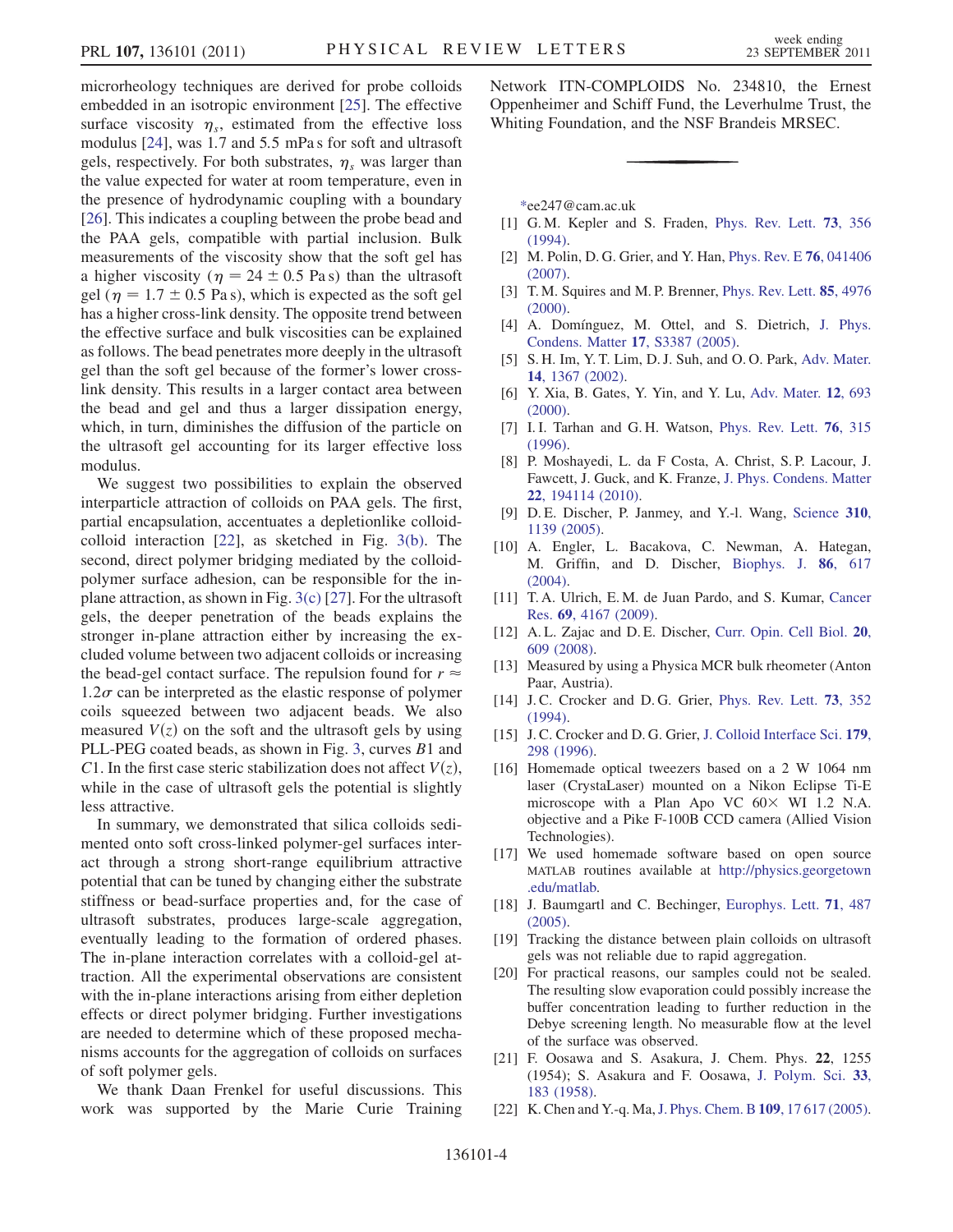microrheology techniques are derived for probe colloids embedded in an isotropic environment [[25](#page-4-2)]. The effective surface viscosity  $\eta_s$ , estimated from the effective loss modulus [\[24\]](#page-4-1), was 1:7 and 5:5 mPa s for soft and ultrasoft gels, respectively. For both substrates,  $\eta_s$  was larger than the value expected for water at room temperature, even in the presence of hydrodynamic coupling with a boundary [\[26\]](#page-4-3). This indicates a coupling between the probe bead and the PAA gels, compatible with partial inclusion. Bulk measurements of the viscosity show that the soft gel has a higher viscosity ( $\eta = 24 \pm 0.5$  Pa s) than the ultrasoft gel ( $\eta = 1.7 \pm 0.5$  Pa s), which is expected as the soft gel has a higher cross-link density. The opposite trend between the effective surface and bulk viscosities can be explained as follows. The bead penetrates more deeply in the ultrasoft gel than the soft gel because of the former's lower crosslink density. This results in a larger contact area between the bead and gel and thus a larger dissipation energy, which, in turn, diminishes the diffusion of the particle on the ultrasoft gel accounting for its larger effective loss modulus.

We suggest two possibilities to explain the observed interparticle attraction of colloids on PAA gels. The first, partial encapsulation, accentuates a depletionlike colloidcolloid interaction [[22](#page-3-21)], as sketched in Fig. [3\(b\).](#page-2-0) The second, direct polymer bridging mediated by the colloidpolymer surface adhesion, can be responsible for the inplane attraction, as shown in Fig. [3\(c\)](#page-2-0) [\[27\]](#page-4-4). For the ultrasoft gels, the deeper penetration of the beads explains the stronger in-plane attraction either by increasing the excluded volume between two adjacent colloids or increasing the bead-gel contact surface. The repulsion found for  $r \approx$  $1.2\sigma$  can be interpreted as the elastic response of polymer coils squeezed between two adjacent beads. We also measured  $V(z)$  on the soft and the ultrasoft gels by using PLL-PEG coated beads, as shown in Fig. [3,](#page-2-1) curves B1 and C1. In the first case steric stabilization does not affect  $V(z)$ , while in the case of ultrasoft gels the potential is slightly less attractive.

In summary, we demonstrated that silica colloids sedimented onto soft cross-linked polymer-gel surfaces interact through a strong short-range equilibrium attractive potential that can be tuned by changing either the substrate stiffness or bead-surface properties and, for the case of ultrasoft substrates, produces large-scale aggregation, eventually leading to the formation of ordered phases. The in-plane interaction correlates with a colloid-gel attraction. All the experimental observations are consistent with the in-plane interactions arising from either depletion effects or direct polymer bridging. Further investigations are needed to determine which of these proposed mechanisms accounts for the aggregation of colloids on surfaces of soft polymer gels.

We thank Daan Frenkel for useful discussions. This work was supported by the Marie Curie Training Network ITN-COMPLOIDS No. 234810, the Ernest Oppenheimer and Schiff Fund, the Leverhulme Trust, the Whiting Foundation, and the NSF Brandeis MRSEC.

<span id="page-3-1"></span><span id="page-3-0"></span>[\\*e](#page-0-1)e247@cam.ac.uk

- <span id="page-3-16"></span>[1] G. M. Kepler and S. Fraden, [Phys. Rev. Lett.](http://dx.doi.org/10.1103/PhysRevLett.73.356) **73**, 356 [\(1994\)](http://dx.doi.org/10.1103/PhysRevLett.73.356).
- <span id="page-3-2"></span>[2] M. Polin, D. G. Grier, and Y. Han, [Phys. Rev. E](http://dx.doi.org/10.1103/PhysRevE.76.041406) **76**, 041406 [\(2007\)](http://dx.doi.org/10.1103/PhysRevE.76.041406).
- <span id="page-3-3"></span>[3] T.M. Squires and M.P. Brenner, [Phys. Rev. Lett.](http://dx.doi.org/10.1103/PhysRevLett.85.4976) 85, 4976 [\(2000\)](http://dx.doi.org/10.1103/PhysRevLett.85.4976).
- <span id="page-3-4"></span>[4] A. Domínguez, M. Ottel, and S. Dietrich, [J. Phys.](http://dx.doi.org/10.1088/0953-8984/17/45/026) [Condens. Matter](http://dx.doi.org/10.1088/0953-8984/17/45/026) 17, S3387 (2005).
- [5] S. H. Im, Y. T. Lim, D. J. Suh, and O. O. Park, [Adv. Mater.](http://dx.doi.org/10.1002/1521-4095(20021002)14:19%3C1367::AID-ADMA1367%3E3.0.CO;2-U) 14[, 1367 \(2002\).](http://dx.doi.org/10.1002/1521-4095(20021002)14:19%3C1367::AID-ADMA1367%3E3.0.CO;2-U)
- <span id="page-3-5"></span>[6] Y. Xia, B. Gates, Y. Yin, and Y. Lu, [Adv. Mater.](http://dx.doi.org/10.1002/(SICI)1521-4095(200005)12:10%3C693::AID-ADMA693%3E3.0.CO;2-J) 12, 693 [\(2000\)](http://dx.doi.org/10.1002/(SICI)1521-4095(200005)12:10%3C693::AID-ADMA693%3E3.0.CO;2-J).
- <span id="page-3-6"></span>[7] I.I. Tarhan and G.H. Watson, [Phys. Rev. Lett.](http://dx.doi.org/10.1103/PhysRevLett.76.315) **76**, 315 [\(1996\)](http://dx.doi.org/10.1103/PhysRevLett.76.315).
- [8] P. Moshayedi, L. da F Costa, A. Christ, S. P. Lacour, J. Fawcett, J. Guck, and K. Franze, [J. Phys. Condens. Matter](http://dx.doi.org/10.1088/0953-8984/22/19/194114) 22[, 194114 \(2010\)](http://dx.doi.org/10.1088/0953-8984/22/19/194114).
- <span id="page-3-8"></span><span id="page-3-7"></span>[9] D. E. Discher, P. Janmey, and Y.-l. Wang, [Science](http://dx.doi.org/10.1126/science.1116995) 310, [1139 \(2005\)](http://dx.doi.org/10.1126/science.1116995).
- [10] A. Engler, L. Bacakova, C. Newman, A. Hategan, M. Griffin, and D. Discher, [Biophys. J.](http://dx.doi.org/10.1016/S0006-3495(04)74140-5) 86, 617 [\(2004\)](http://dx.doi.org/10.1016/S0006-3495(04)74140-5).
- <span id="page-3-10"></span><span id="page-3-9"></span>[11] T. A. Ulrich, E. M. de Juan Pardo, and S. Kumar, [Cancer](http://dx.doi.org/10.1158/0008-5472.CAN-08-4859) Res. 69[, 4167 \(2009\)](http://dx.doi.org/10.1158/0008-5472.CAN-08-4859).
- <span id="page-3-11"></span>[12] A. L. Zajac and D. E. Discher, [Curr. Opin. Cell Biol.](http://dx.doi.org/10.1016/j.ceb.2008.09.006) 20, [609 \(2008\)](http://dx.doi.org/10.1016/j.ceb.2008.09.006).
- <span id="page-3-12"></span>[13] Measured by using a Physica MCR bulk rheometer (Anton Paar, Austria).
- <span id="page-3-13"></span>[14] J.C. Crocker and D.G. Grier, [Phys. Rev. Lett.](http://dx.doi.org/10.1103/PhysRevLett.73.352) **73**, 352 [\(1994\)](http://dx.doi.org/10.1103/PhysRevLett.73.352).
- <span id="page-3-14"></span>[15] J. C. Crocker and D. G. Grier, [J. Colloid Interface Sci.](http://dx.doi.org/10.1006/jcis.1996.0217) 179, [298 \(1996\)](http://dx.doi.org/10.1006/jcis.1996.0217).
- [16] Homemade optical tweezers based on a 2 W 1064 nm laser (CrystaLaser) mounted on a Nikon Eclipse Ti-E microscope with a Plan Apo VC  $60 \times W1$  1.2 N.A. objective and a Pike F-100B CCD camera (Allied Vision Technologies).
- <span id="page-3-15"></span>[17] We used homemade software based on open source MATLAB routines available at [http://physics.georgetown](http://physics.georgetown.edu/matlab) [.edu/matlab.](http://physics.georgetown.edu/matlab)
- <span id="page-3-18"></span><span id="page-3-17"></span>[18] J. Baumgartl and C. Bechinger, [Europhys. Lett.](http://dx.doi.org/10.1209/epl/i2005-10107-2) 71, 487 [\(2005\)](http://dx.doi.org/10.1209/epl/i2005-10107-2).
- <span id="page-3-19"></span>[19] Tracking the distance between plain colloids on ultrasoft gels was not reliable due to rapid aggregation.
- [20] For practical reasons, our samples could not be sealed. The resulting slow evaporation could possibly increase the buffer concentration leading to further reduction in the Debye screening length. No measurable flow at the level of the surface was observed.
- <span id="page-3-20"></span>[21] F. Oosawa and S. Asakura, J. Chem. Phys. 22, 1255 (1954); S. Asakura and F. Oosawa, [J. Polym. Sci.](http://dx.doi.org/10.1002/pol.1958.1203312618) 33, [183 \(1958\)](http://dx.doi.org/10.1002/pol.1958.1203312618).
- <span id="page-3-21"></span>[22] K. Chen and Y.-q. Ma, [J. Phys. Chem. B](http://dx.doi.org/10.1021/jp051403u) 109, 17 617 (2005).